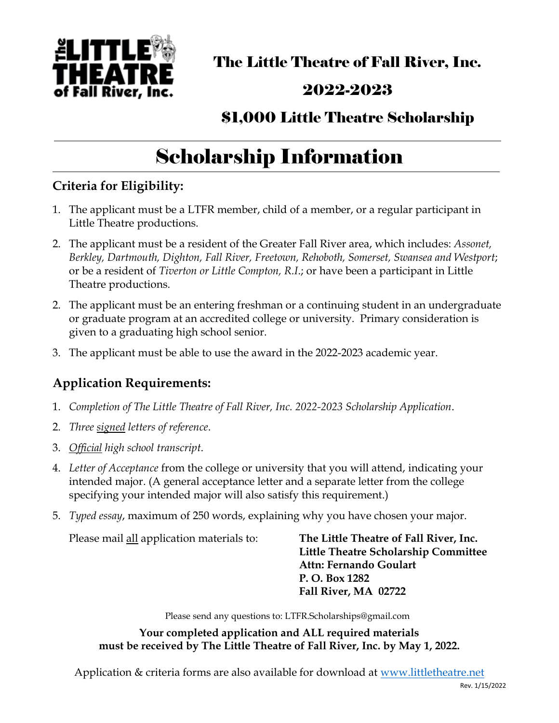

The Little Theatre of Fall River, Inc.

### 2022-2023

### \$1,000 Little Theatre Scholarship

# Scholarship Information

### **Criteria for Eligibility:**

- 1. The applicant must be a LTFR member, child of a member, or a regular participant in Little Theatre productions.
- 2. The applicant must be a resident of the Greater Fall River area, which includes: *Assonet, Berkley, Dartmouth, Dighton, Fall River, Freetown, Rehoboth, Somerset, Swansea and Westport*; or be a resident of *Tiverton or Little Compton, R.I*.; or have been a participant in Little Theatre productions.
- 2. The applicant must be an entering freshman or a continuing student in an undergraduate or graduate program at an accredited college or university. Primary consideration is given to a graduating high school senior.
- 3. The applicant must be able to use the award in the 2022-2023 academic year.

#### **Application Requirements:**

- 1. *Completion of The Little Theatre of Fall River, Inc. 2022-2023 Scholarship Application*.
- 2. *Three signed letters of reference*.
- 3. *Official high school transcript*.
- 4. *Letter of Acceptance* from the college or university that you will attend, indicating your intended major. (A general acceptance letter and a separate letter from the college specifying your intended major will also satisfy this requirement.)
- 5. *Typed essay*, maximum of 250 words, explaining why you have chosen your major.

Please mail all application materials to: **The Little Theatre of Fall River, Inc.**

 **Little Theatre Scholarship Committee Attn: Fernando Goulart P. O. Box 1282 Fall River, MA 02722**

Please send any questions to: LTFR.Scholarships@gmail.com

**Your completed application and ALL required materials must be received by The Little Theatre of Fall River, Inc. by May 1, 2022.**

Application & criteria forms are also available for download at [www.littletheatre.net](http://www.littletheatre.net/performing-arts-scholarship)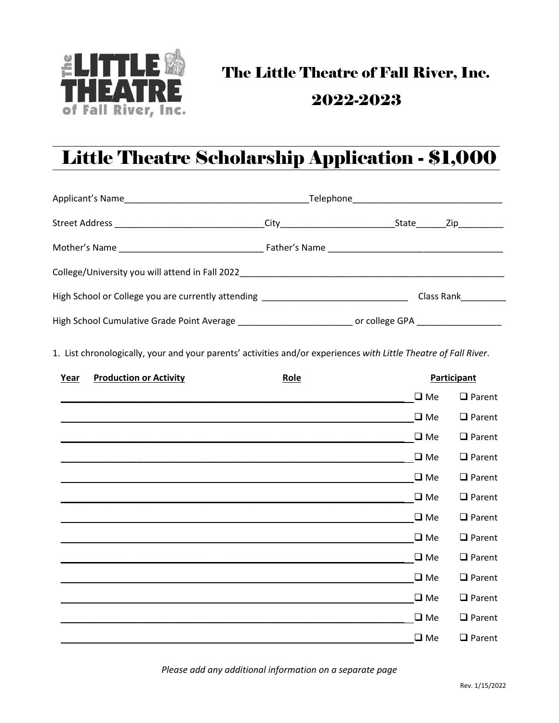

# The Little Theatre of Fall River, Inc. 2022-2023

## Little Theatre Scholarship Application - \$1,000

|                                                                                                      |  |  | State Zip  |
|------------------------------------------------------------------------------------------------------|--|--|------------|
|                                                                                                      |  |  |            |
| College/University you will attend in Fall 2022                                                      |  |  |            |
| High School or College you are currently attending _____________________________                     |  |  | Class Rank |
| High School Cumulative Grade Point Average _______________________________ or college GPA __________ |  |  |            |

1.List chronologically, your and your parents' activities and/or experiences *with Little Theatre of Fall River*.

| Year | <b>Production or Activity</b> | Role |              | <b>Participant</b> |
|------|-------------------------------|------|--------------|--------------------|
|      |                               |      | $\square$ Me | $\Box$ Parent      |
|      |                               |      | $\square$ Me | $\Box$ Parent      |
|      |                               |      | $\square$ Me | $\Box$ Parent      |
|      |                               |      | $\square$ Me | $\Box$ Parent      |
|      |                               |      | $\square$ Me | $\Box$ Parent      |
|      |                               |      | $\square$ Me | $\Box$ Parent      |
|      |                               |      | $\square$ Me | $\Box$ Parent      |
|      |                               |      | $\square$ Me | $\Box$ Parent      |
|      |                               |      | $\square$ Me | $\Box$ Parent      |
|      |                               |      | $\square$ Me | $\Box$ Parent      |
|      |                               |      | $\square$ Me | $\Box$ Parent      |
|      |                               |      | $\square$ Me | $\Box$ Parent      |
|      |                               |      | $\square$ Me | $\Box$ Parent      |

*Please add any additional information on a separate page*